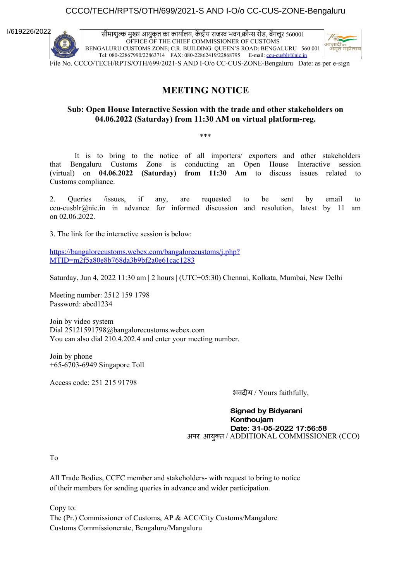### CCCO/TECH/RPTS/OTH/699/2021-S AND I-O/o CC-CUS-ZONE-Bengaluru

I/619226/2022

सीमाशुल्क मुख्य आयुक्त का कार्यालय, कें द्रीय राजस्व भवन,क्वीन्स रोड, बेंगलूर 560001 OFFICE OF THE CHIEF COMMISSIONER OF CUSTOMS BENGALURU CUSTOMS ZONE; C.R. BUILDING: QUEEN'S ROAD: BENGALURU– 560 001 Tel: 080-22867990/22863714 FAX: 080-22862419/22868795 E-mail: [ccu-cusblr@nic.in](mailto:ccu-cusblr@nic.in)



File No. CCCO/TECH/RPTS/OTH/699/2021-S AND I-O/o CC-CUS-ZONE-Bengaluru Date: as per e-sign

### **MEETING NOTICE**

#### **Sub: Open House Interactive Session with the trade and other stakeholders on 04.06.2022 (Saturday) from 11:30 AM on virtual platform-reg.**

\*\*\*

It is to bring to the notice of all importers/ exporters and other stakeholders that Bengaluru Customs Zone is conducting an Open House Interactive session (virtual) on **04.06.2022 (Saturday) from 11:30 Am** to discuss issues related to Customs compliance.

2. Queries /issues, if any, are requested to be sent by email to ccu-cusblr@nic.in in advance for informed discussion and resolution, latest by 11 am on 02.06.2022.

3. The link for the interactive session is below:

[https://bangalorecustoms.webex.com/bangalorecustoms/j.php?](https://bangalorecustoms.webex.com/bangalorecustoms/j.php?MTID=m2f5a80e8b768da3b9bf2a0e61cac1283) [MTID=m2f5a80e8b768da3b9bf2a0e61cac1283](https://bangalorecustoms.webex.com/bangalorecustoms/j.php?MTID=m2f5a80e8b768da3b9bf2a0e61cac1283)

Saturday, Jun 4, 2022 11:30 am | 2 hours | (UTC+05:30) Chennai, Kolkata, Mumbai, New Delhi

Meeting number: 2512 159 1798 Password: abcd1234

Join by video system Dial 25121591798@bangalorecustoms.webex.com You can also dial 210.4.202.4 and enter your meeting number.

Join by phone +65-6703-6949 Singapore Toll

Access code: 251 215 91798

भवदीय / Yours faithfully,

**Signed by Bidyarani** Konthouiam Date: 31-05-2022 17:56:58 अपर आयुक्त / ADDITIONAL COMMISSIONER (CCO)

To

All Trade Bodies, CCFC member and stakeholders- with request to bring to notice of their members for sending queries in advance and wider participation.

Copy to: The (Pr.) Commissioner of Customs, AP & ACC/City Customs/Mangalore Customs Commissionerate, Bengaluru/Mangaluru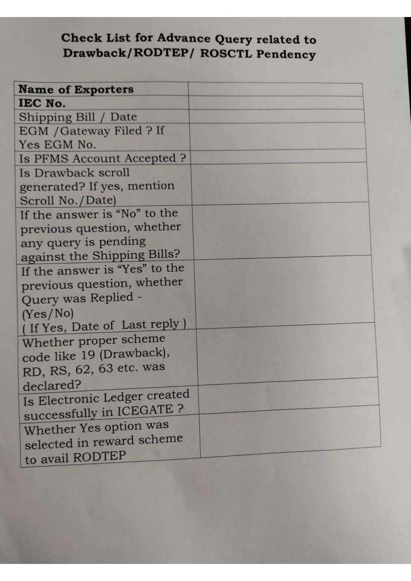### Check List for Advance Query related to Drawback/RODTEP/ ROSCTL Pendency

| <b>Name of Exporters</b>      |  |
|-------------------------------|--|
| IEC No.                       |  |
| Shipping Bill / Date          |  |
| EGM / Gateway Filed ? If      |  |
| Yes EGM No.                   |  |
| Is PFMS Account Accepted?     |  |
| Is Drawback scroll            |  |
| generated? If yes, mention    |  |
| Scroll No./Date)              |  |
| If the answer is "No" to the  |  |
| previous question, whether    |  |
| any query is pending          |  |
| against the Shipping Bills?   |  |
| If the answer is "Yes" to the |  |
| previous question, whether    |  |
| Query was Replied -           |  |
| (Yes/No)                      |  |
| (If Yes, Date of Last reply)  |  |
| Whether proper scheme         |  |
| code like 19 (Drawback),      |  |
| RD, RS, 62, 63 etc. was       |  |
| declared?                     |  |
| Is Electronic Ledger created  |  |
| successfully in ICEGATE ?     |  |
| Whether Yes option was        |  |
| selected in reward scheme     |  |
| to avail RODTEP               |  |